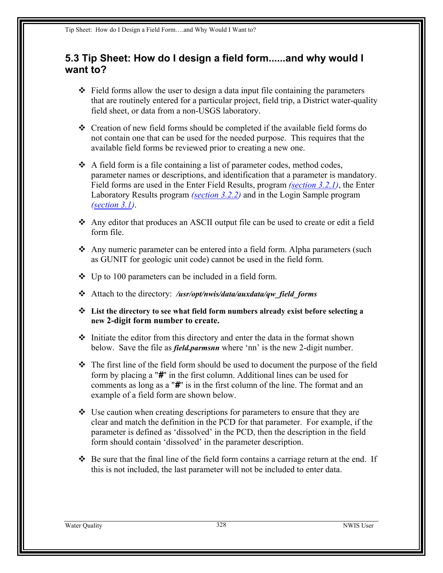## **5.3 Tip Sheet: How do I design a field form......and why would I want to?**

- $\triangleleft$  Field forms allow the user to design a data input file containing the parameters that are routinely entered for a particular project, field trip, a District water-quality field sheet, or data from a non-USGS laboratory.
- Creation of new field forms should be completed if the available field forms do not contain one that can be used for the needed purpose. This requires that the available field forms be reviewed prior to creating a new one.
- $\triangle$  A field form is a file containing a list of parameter codes, method codes, parameter names or descriptions, and identification that a parameter is mandatory. Field forms are used in the Enter Field Results, program *[\(section](#page-6-0) 3.2.1)*, the Enter Laboratory Results program *[\(section](#page-9-0) 3.2.2)* and in the Login Sample program *(section 3.1)*.
- Any editor that produces an ASCII output file can be used to create or edit a field form file.
- Any numeric parameter can be entered into a field form. Alpha parameters (such as GUNIT for geologic unit code) cannot be used in the field form.
- $\bullet$  Up to 100 parameters can be included in a field form.
- Attach to the directory: */usr/opt/nwis/data/auxdata/qw\_field\_forms*
- **List the directory to see what field form numbers already exist before selecting a new 2-digit form number to create.**
- $\div$  Initiate the editor from this directory and enter the data in the format shown below. Save the file as *field.parmsnn* where 'nn' is the new 2-digit number.
- $\hat{\mathbf{v}}$  The first line of the field form should be used to document the purpose of the field form by placing a "*#*" in the first column. Additional lines can be used for comments as long as a "*#*" is in the first column of the line. The format and an example of a field form are shown below.
- $\div$  Use caution when creating descriptions for parameters to ensure that they are clear and match the definition in the PCD for that parameter. For example, if the parameter is defined as 'dissolved' in the PCD, then the description in the field form should contain 'dissolved' in the parameter description.
- $\div$  Be sure that the final line of the field form contains a carriage return at the end. If this is not included, the last parameter will not be included to enter data.

Water Quality 328 NWIS User